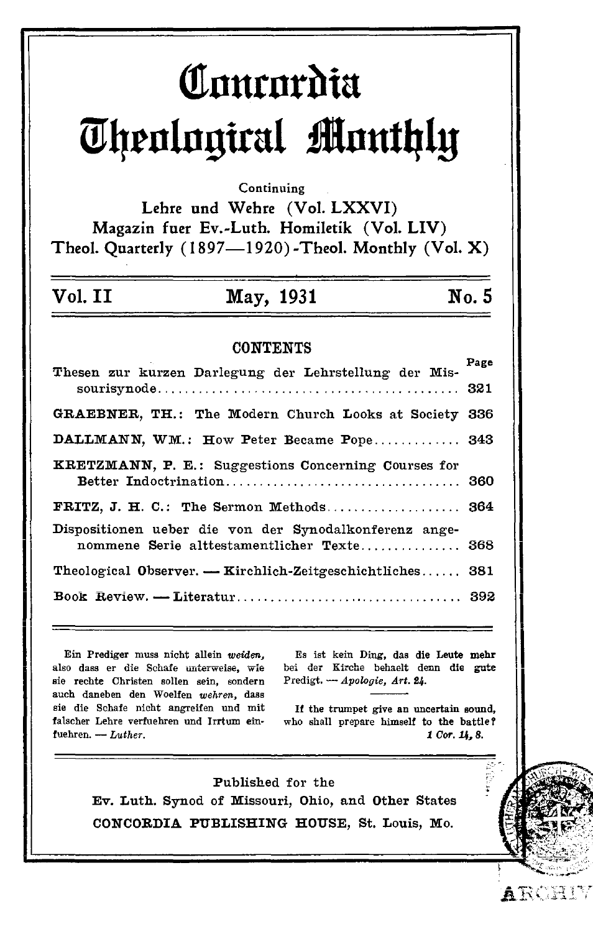# Concordia Theological Monthly

Continuing

Lehre und Wehre (Vol. LXXVI) Magazin fuer Ev.-Luth. Homiletik (Vol. LIV) Theol. Quarterly (1897-1920)-Theol. Monthly (Vol. X)

#### Vol. II May, 1931

### **CONTENTS**

| Thesen zur kurzen Darlegung der Lehrstellung der Mis-                                                | Page |
|------------------------------------------------------------------------------------------------------|------|
| GRAEBNER, TH.: The Modern Church Looks at Society                                                    | 336  |
| DALLMANN, WM.: How Peter Became Pope 343                                                             |      |
| <b>KRETZMANN, P. E.: Suggestions Concerning Courses for</b>                                          |      |
| FRITZ, J. H. C.: The Sermon Methods 364                                                              |      |
| Dispositionen ueber die von der Synodalkonferenz ange-<br>nommene Serie alttestamentlicher Texte 368 |      |
| Theological Observer. — Kirchlich-Zeitgeschichtliches 381                                            |      |
|                                                                                                      |      |
|                                                                                                      |      |

Ein Prediger muss nicht allein weiden, also dass er die Schafe unterweise, wie sie rechte Christen sollen sein, sondern auch daneben den Woelfen wehren, dass sie die Schafe nicht angreifen und mit falscher Lehre verfuehren und Irrtum einfuehren. - Luther.

Es ist kein Ding, das die Leute mehr bei der Kirche behaelt denn die gute Predigt. - Apologie, Art. 24.

No. 5

If the trumpet give an uncertain sound, who shall prepare himself to the battle? 1 Cor. 14, 8.

ARCHIY

Published for the Ev. Luth. Synod of Missouri, Ohio, and Other States CONCORDIA PUBLISHING HOUSE, St. Louis, Mo.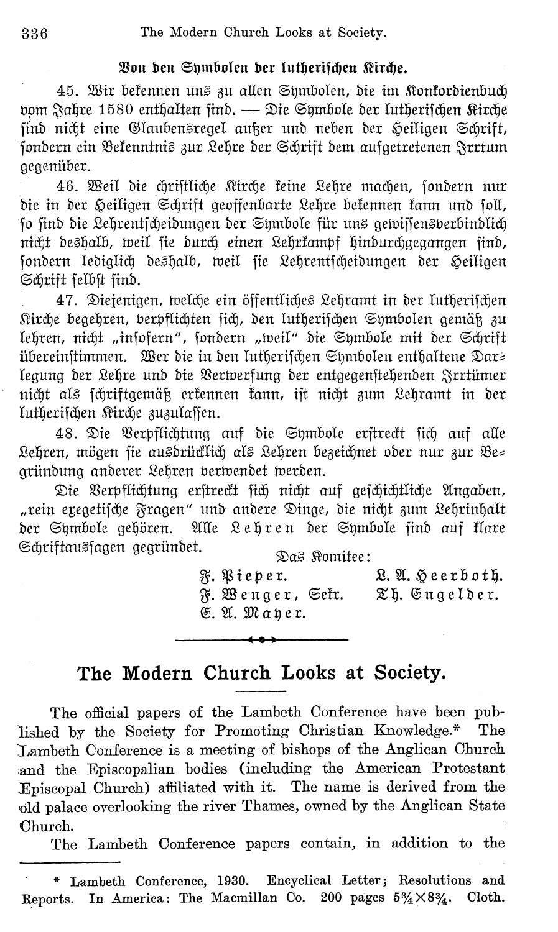### Von den Sumbolen der lutherischen Kirche.

45. Wir bekennen uns zu allen Symbolen, die im Konkordienbuch bom Jahre 1580 enthalten find. — Die Symbole der lutherischen Rirche sind nicht eine Glaubensregel außer und neben der Heiligen Schrift, sondern ein Bekenntnis zur Lehre der Schrift dem aufgetretenen Jrrtum gegenüber.

46. Weil die chriftliche Kirche keine Lehre machen, sondern nur die in der Heiligen Schrift geoffenbarte Lehre bekennen kann und soll, so sind die Lehrentscheidungen der Symbole für uns gewissensperbindlich nicht deshalb, weil sie durch einen Lehrkampf hindurchgegangen sind, sondern lediglich deshalb, weil sie Lehrentscheidungen der Heiligen Schrift felbst find.

47. Diejenigen, welche ein öffentliches Lehramt in der lutherischen Kirche begehren, verpflichten sich, den lutherischen Symbolen gemäß zu lehren, nicht "insofern", sondern "weil" die Symbole mit der Schrift übereinstimmen. Wer die in den lutherischen Symbolen enthaltene Dar= legung der Lehre und die Verwerfung der entgegenstehenden Jrrtümer nicht als schriftgemäß erkennen kann, ist nicht zum Lehramt in der lutherischen Kirche zuzulassen.

48. Die Verpflichtung auf die Symbole erftrectt sich auf alle Lehren, mögen sie ausdrücklich als Lehren bezeichnet oder nur zur Be= gründung anderer Lehren berwendet werden.

Die Verpflichtung erstreckt sich nicht auf geschichtliche Angaben, "rein exegetische Fragen" und andere Dinge, die nicht zum Lehrinhalt der Symbole gehören. Alle Lehren der Symbole find auf klare Schriftaussagen gegründet.

Das *Komitee*:

 $\mathcal{R}.$  Pieper. L. A. Heerboth. F. Wenger, Sefr. Th. Engelder. E. A. Mayer.

## The Modern Church Looks at Society.

The official papers of the Lambeth Conference have been published by the Society for Promoting Christian Knowledge.\* The Lambeth Conference is a meeting of bishops of the Anglican Church and the Episcopalian bodies (including the American Protestant Episcopal Church) affiliated with it. The name is derived from the old palace overlooking the river Thames, owned by the Anglican State Church.

The Lambeth Conference papers contain, in addition to the

<sup>\*</sup> Lambeth Conference, 1930. Encyclical Letter; Resolutions and In America: The Macmillan Co. 200 pages  $5\frac{3}{4}\times8\frac{3}{4}$ . Cloth. Reports.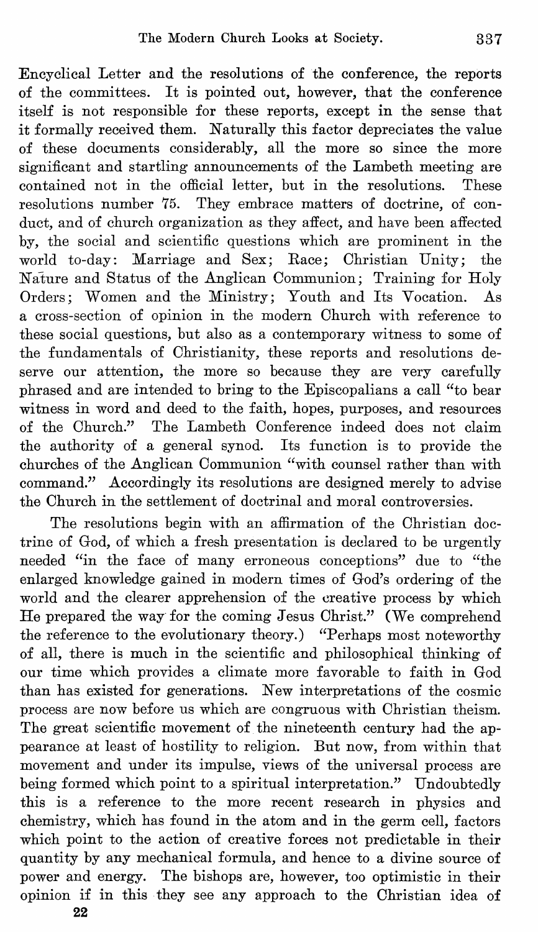Encyclical Letter and the resolutions of the conference, the reports of the committees. It is pointed out, however, that the conference itself is not responsible for these reports, except in the sense that it formally received them. Naturally this factor depreciates the value of these documents considerably, all the more so since the more significant and startling announcements of the Lambeth meeting are contained not in the official letter, but in the resolutions. These contained not in the official letter, but in the resolutions. resolutions number 75. They embrace matters of doctrine, of conduct, and of church organization as they affect, and have been affected by, the social and scientific questions which are prominent in the world to-day: Marriage and Sex; Race; Christian Unity; the Nature and Status of the Anglican Communion; Training for Holy<br>Orders: Women and the Ministry: Youth and Its Vocation. As Orders; Women and the Ministry; Youth and Its Vocation. a cross-section of opinion in the modern Ohurch with reference to these social questions, but also as a contemporary witness to some of the fundamentals of Christianity, these reports and resolutions deserve our attention, the more so because they are very carefully phrased and are intended to bring to the Episcopalians a call "to bear witness in word and deed to the faith, hopes, purposes, and resources of the Ohurch." The Lambeth Oonference indeed does not claim the authority of a general synod. Its function is to provide the churches of the Anglican Oommunion "with counsel rather than with command." Accordingly its resolutions are designed merely to advise the Ohurch in the settlement of doctrinal and moral controversies.

The resolutions begin with an affirmation of the Ohristian doctrine of God, of which a fresh presentation is declared to be urgently needed "in the face of many erroneous conceptions" due to "the enlarged knowledge gained in modern times of God's ordering of the world and the clearer apprehension of the creative process by which He prepared the way for the coming Jesus Ohrist." (We comprehend the reference to the evolutionary theory.) "Perhaps most noteworthy of all, there is much in the scientific and philosophical thinking of our time which provides a climate more favorable to faith in God than has existed for generations. New interpretations of the cosmic process are now before us which are congruous with Ohristian theism. The great scientific movement of the nineteenth century had the appearance at least of hostility to religion. But now, from within that movement and under its impulse, views of the universal process are being formed which point to a spiritual interpretation." Undoubtedly this is a reference to the more recent research in physics and chemistry, which has found in the atom and in the germ cell, factors which point to the action of creative forces not predictable in their quantity by any mechanical formula, and hence to a divine source of power and energy. The bishops are, however, too optimistic in their opinion if in this they see any approach to the Ohristian idea of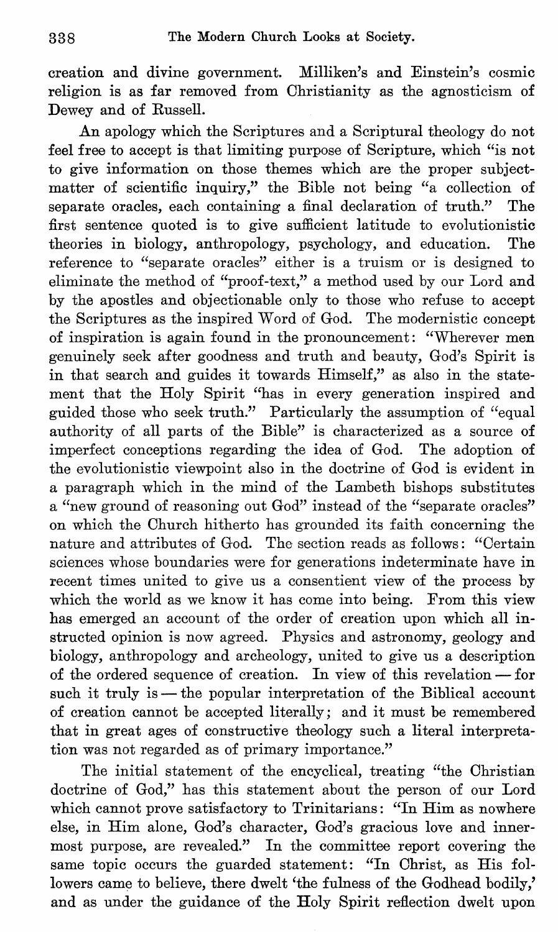creation and divine government. Milliken's and Einstein's cosmic religion is as far removed from Ohristianity as the agnosticism of Dewey and of Russell.

An apology which the Scriptures and a Scriptural theology do not feel free to accept is that limiting purpose of Scripture, which "is not to give information on those themes which are the proper subjectmatter of scientific inquiry," the Bible not being "a collection of separate oracles, each containing a final declaration of truth." The first sentence quoted is to give sufficient latitude to evolutionistic theories in biology, anthropology, psychology, and education. The reference to "separate oracles" either is a truism or is designed to eliminate the method of "proof-text," a method used by our Lord and by the apostles and objectionable only to those who refuse to accept the Scriptures as the inspired Word of God. The modernistic concept of inspiration is again found in the pronouncement: "Wherever men genuinely seek after goodness and truth and beauty, God's Spirit is in that search and guides it towards Himself," as also in the statement that the Holy Spirit "has in every generation inspired and guided those who seek truth." Particularly the assumption of "equal authority of all parts of the Bible" is characterized as a source of imperfect conceptions regarding the idea of God. The adoption of the evolutionistic viewpoint also in the doctrine of God is evident in a paragraph which in the mind of the Lambeth bishops substitutes a "new ground of reasoning out God" instead of the "separate oracles" on which the Ohurch hitherto has grounded its faith concerning the nature and attributes of God. The section reads as follows: "Oertain sciences whose boundaries were for generations indeterminate have in recent times united to give us a consentient view of the process by which the world as we know it has come into being. From this view has emerged an account of the order of creation upon which all instructed opinion is now agreed. Physics and astronomy, geology and biology, anthropology and archeology, united to give us a description of the ordered sequence of creation. In view of this revelation - for such it truly is  $-$  the popular interpretation of the Biblical account of creation cannot be accepted literally; and it must be remembered that in great ages of constructive theology such a literal interpretation was not regarded as of primary importance."

The initial statement of the encyclical, treating "the Ohristian doctrine of God," has this statement about the person of our Lord which cannot prove satisfactory to Trinitarians: "In Him as nowhere else, in Him alone, God's character, God's gracious love and innermost purpose, are revealed." In the committee report covering the same topic occurs the guarded statement: "In Ohrist, as His followers came to believe, there dwelt 'the fulness of the Godhead bodily,' and as under the guidance of the Holy Spirit reflection dwelt upon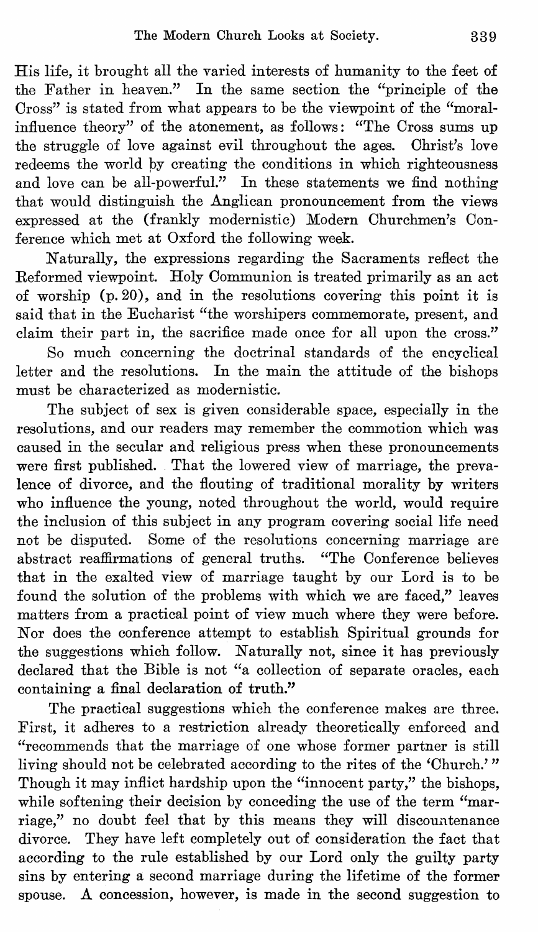His life, it brought all the varied interests of humanity to the feet of the Father in heaven." In the same section the "principle of the Cross" is stated from what appears to be the viewpoint of the "moralinfluence theory" of the atonement, as follows: "The Cross sums up the struggle of love against evil throughout the ages. Christ's love redeems the world by creating the conditions in which righteousness and love can be all-powerful." In these statements we find nothing that would distinguish the Anglican pronouncement from the views expressed at the (frankly modernistic) Modern Churchmen's Conference which met at Oxford the following week.

Naturally, the expressions regarding the Sacraments reflect the Reformed viewpoint. Holy Communion is treated primarily as an act of worship (p.20), and in the resolutions covering this point it is said that in the Eucharist "the worshipers commemorate, present, and claim their part in, the sacrifice made once for all upon the cross."

So much concerning the doctrinal standards of the encyclical letter and the resolutions. In the main the attitude of the bishops must be characterized as modernistic.

The subject of sex is given considerable space, especially in the resolutions, and our readers may remember the commotion which was caused in the secular and religious press when these pronouncements were first published. That the lowered view of marriage, the prevalence of divorce, and the flouting of traditional morality by writers who influence the young, noted throughout the world, would require the inclusion of this subject in any program covering social life need not be disputed. Some of the resolutions concerning marriage are abstract reaffirmations of general truths. "The Conference believes that in the exalted view of marriage taught by our Lord is to be found the solution of the problems with which we are faced," leaves matters from a practical point of view much where they were before. Nor does the conference attempt to establish Spiritual grounds for the suggestions which follow. Naturally not, since it has previously declared that the Bible is not "a collection of separate oracles, each containing a final declaration of truth."

The practical suggestions which the conference makes are three. First, it adheres to a restriction already theoretically enforced and "recommends that the marriage of one whose former partner is still living should not be celebrated according to the rites of the 'Church.' " Though it may inflict hardship upon the "innocent party," the bishops, while softening their decision by conceding the use of the term "marriage," no doubt feel that by this means they will discountenance divorce. They have left completely out of consideration the fact that according to the rule established by our Lord only the guilty party sins by entering a second marriage during the lifetime of the former spouse. A concession, however, is made in the second suggestion to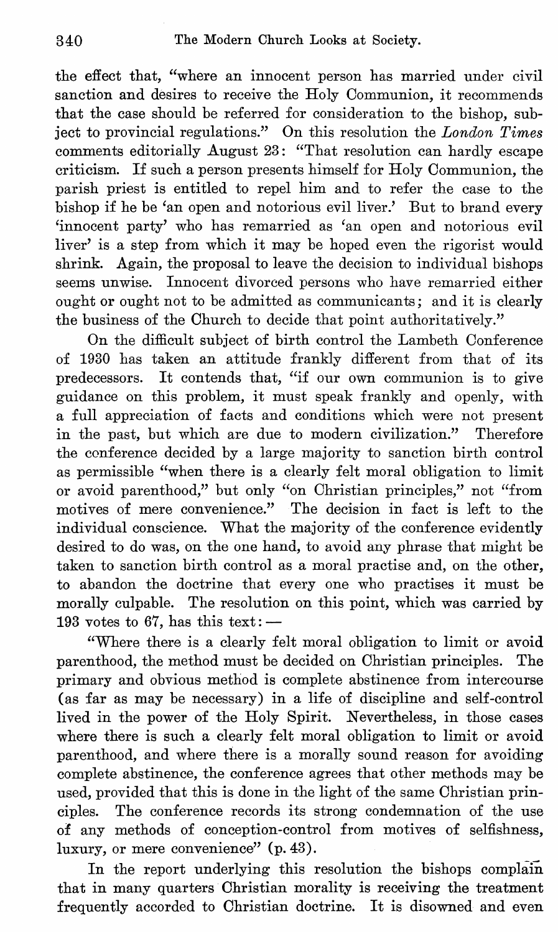the effect that, "where an innocent person has married under civil sanction and desires to receive the Holy Oommunion, it recommends that the case should be referred for consideration to the bishop, subject to provincial regulations." On this resolution the *London Times*  comments editorially August 23: "That resolution can hardly escape criticism. If such a person presents himself for Holy Oommunion, the parish priest is entitled to repel him and to refer the case to the bishop if he be 'an open and notorious evil liver.' But to brand every 'innocent party' who has remarried as 'an open and notorious evil liver' is a step from which it may be hoped even the rigorist would shrink. Again, the proposal to leave the decision to individual bishops seems unwise. Innocent divorced persons who have remarried either ought or ought not to be admitted as communicants; and it is clearly the business of the Ohurch to decide that point authoritatively."

On the difficult subject of birth control the Lambeth Oonference of 1930 has taken an attitude frankly different from that of its predecessors. It contends that, "if our own communion is to give guidance on this problem, it must speak frankly and openly, with a full appreciation of facts and conditions which were not present in the past, but which are due to modern civilization." Therefore the conference decided by a large majority to sanction birth control as permissible "when there is a clearly felt moral obligation to limit or avoid parenthood," but only "on Ohristian principles," not "from motives of mere convenience." The decision in fact is left to the individual conscience. What the majority of the conference evidently desired to do was, on the one hand, to avoid any phrase that might be taken to sanction birth control as a moral practise and, on the other, to abandon the doctrine that every one who practises it must be morally culpable. The resolution on this point, which was carried by 193 votes to 67, has this text:  $-$ 

"Where there is a clearly felt moral obligation to limit or avoid parenthood, the method must be decided on Ohristian principles. The primary and obvious method is complete abstinence from intercourse (as far as may be necessary) in a life of discipline and self-control lived in the power of the Holy Spirit. Nevertheless, in those cases where there is such a clearly felt moral obligation to limit or avoid parenthood, and where there is a morally sound reason for avoiding complete abstinence, the conference agrees that other methods may be used, provided that this is done in the light of the same Ohristian principles. The conference records its strong condemnation of the use of any methods of conception-control from motives of selfishness, luxury, or mere convenience" (p.43).

In the report underlying this resolution the bishops complain that in many quarters Ohristian morality is receiving the treatment frequently accorded to Christian doctrine. It is disowned and even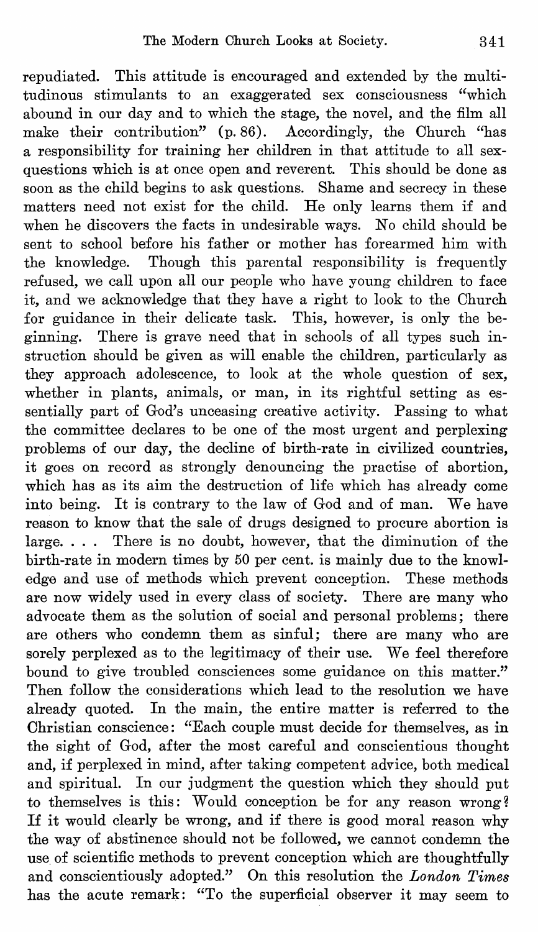repudiated. This attitude is encouraged and extended by the multitudinous stimulants to an exaggerated sex consciousness "which abound in our day and to which the stage, the novel, and the film all make their contribution" (p.86). Accordingly, the Ohurch "has a responsibility for training her children in that attitude to all sexquestions which is at once open and reverent. This should be done as soon as the child begins to ask questions. Shame and secrecy in these matters need not exist for the child. He only learns them if and when he discovers the facts in undesirable ways. No child should be sent to school before his father or mother has forearmed him with the knowledge. Though this parental responsibility is frequently refused, we call upon all our people who have young children to face it, and we acknowledge that they have a right to look to the Ohurch for guidance in their delicate task. This, however, is only the beginning. There is grave need that in schools of all types such instruction should be given as will enable the children, particularly as they approach adolescence, to look at the whole question of sex, whether in plants, animals, or man, in its rightful setting as essentially part of God's unceasing creative activity. Passing to what the committee declares to be one of the most urgent and perplexing problems of our day, the decline of birth-rate in civilized countries, it goes on record as strongly denouncing the practise of abortion, which has as its aim the destruction of life which has already come into being. It is contrary to the law of God and of man. We have reason to know that the sale of drugs designed to procure abortion is large. . . . There is no doubt, however, that the diminution of the birth-rate in modern times by 50 per cent. is mainly due to the knowledge and use of methods which prevent conception. These methods are now widely used in every class of society. There are many who advocate them as the solution of social and personal problems; there are others who condemn them as sinful; there are many who are sorely perplexed as to the legitimacy of their use. We feel therefore bound to give troubled consciences some guidance on this matter." Then follow the considerations which lead to the resolution we have already quoted. In the main, the entire matter is referred to the Ohristian conscience: "Each couple must decide for themselves, as in the sight of God, after the most careful and conscientious thought and, if perplexed in mind, after taking competent advice, both medical and spiritual. In our judgment the question which they should put to themselves is this: Would conception be for any reason wrong? If it would clearly be wrong, and if there is good moral reason why the way of abstinence should not be followed, we cannot condemn the use of scientific methods to prevent conception which are thoughtfully and conscientiously adopted." On this resolution the *London Times*  has the acute remark: "To the superficial observer it may seem to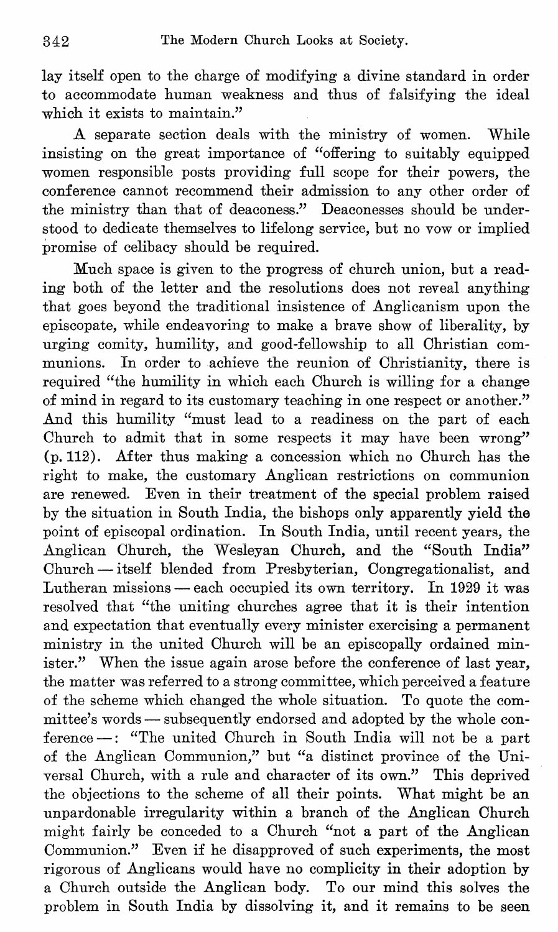lay itself open to the charge of modifying a divine standard in order to accommodate human weakness and thus of falsifying the ideal which it exists to maintain."

A separate section deals with the ministry of women. While insisting on the great importance of "offering to suitably equipped women responsible posts providing full scope for their powers, the conference cannot recommend their admission to any other order of the ministry than that of deaconess." Deaconesses should be understood to dedicate themselves to lifelong service, but no vow or implied promise of celibacy should be required.

Much space is given to the progress of church union, but a reading both of the letter and the resolutions does not reveal anything that goes beyond the traditional insistence of Anglicanism upon the episcopate, while endeavoring to make a brave show of liberality, by urging comity, humility, and good-fellowship to all Ohristian communions. In order to achieve the reunion of Ohristianity, there is required "the humility in which each Ohurch is willing for a change of mind in regard to its customary teaching in one respect or another." And this humility "must lead to a readiness on the part of each Church to admit that in some respects it may have been wrong" (p.112). After thus making a concession which no Ohurch has the right to make, the customary Anglican restrictions on communion are renewed. Even in their treatment of the special problem raised by the situation in South India, the bishops only apparently yield the point of episcopal ordination. In South India, until recent years, the Anglican Ohurch, the Wesleyan Ohurch, and the "South India" Ohurch - itself blended from Presbyterian, Oongregationalist, and Lutheran missions - each occupied its own territory. In 1929 it was resolved that "the uniting churches agree that it is their intention and expectation that eventually every minister exercising a permanent ministry in the united Ohurch will be an episcopally ordained minister." When the issue again arose before the conference of last year, the matter was referred to a strong committee, which perceived a feature of the scheme which changed the whole situation. To quote the committee's words - subsequently endorsed and adopted by the whole conference -: "The united Ohurch in South India will not be a part of the Anglican Oommunion," but "a distinct province of the Universal Ohurch, with a rule and character of its own." This deprived the objections to the scheme of all their points. What might be an unpardonable irregularity within a branch of the Anglican Ohurch might fairly be conceded to a Ohurch "not a part of the Anglican Oommunion." Even if he disapproved of such experiments, the most rigorous of Anglicans would have no complicity in their adoption by a Ohurch outside the Anglican body. To our mind this solves the problem in South India by dissolving it, and it remains to be seen